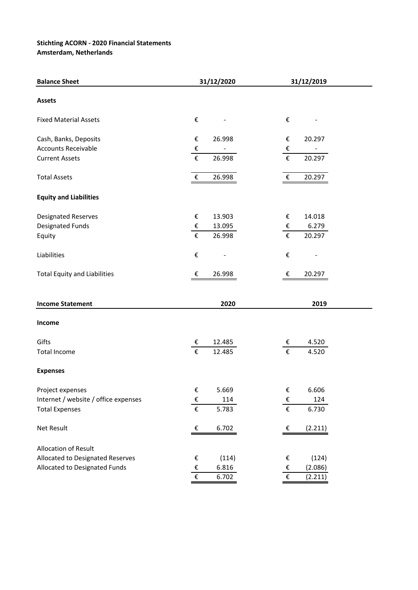## **Stichting ACORN - 2020 Financial Statements**

**Amsterdam, Netherlands**

| <b>Balance Sheet</b>                 | 31/12/2020                |        | 31/12/2019                |         |  |
|--------------------------------------|---------------------------|--------|---------------------------|---------|--|
| <b>Assets</b>                        |                           |        |                           |         |  |
| <b>Fixed Material Assets</b>         | $\boldsymbol{\epsilon}$   |        | $\boldsymbol{\epsilon}$   |         |  |
| Cash, Banks, Deposits                | €                         | 26.998 | $\boldsymbol{\epsilon}$   | 20.297  |  |
| <b>Accounts Receivable</b>           | $\boldsymbol{\epsilon}$   |        | $\boldsymbol{\epsilon}$   |         |  |
| <b>Current Assets</b>                | €                         | 26.998 | $\boldsymbol{\epsilon}$   | 20.297  |  |
| <b>Total Assets</b>                  | $\boldsymbol{\epsilon}$   | 26.998 | $\boldsymbol{\epsilon}$   | 20.297  |  |
| <b>Equity and Liabilities</b>        |                           |        |                           |         |  |
| <b>Designated Reserves</b>           | €                         | 13.903 | €                         | 14.018  |  |
| Designated Funds                     | €                         | 13.095 | €                         | 6.279   |  |
| Equity                               | $\boldsymbol{\epsilon}$   | 26.998 | $\boldsymbol{\epsilon}$   | 20.297  |  |
| Liabilities                          | €                         |        | $\pmb{\epsilon}$          |         |  |
| <b>Total Equity and Liabilities</b>  | €                         | 26.998 | €                         | 20.297  |  |
| <b>Income Statement</b>              |                           | 2020   |                           | 2019    |  |
| Income                               |                           |        |                           |         |  |
| Gifts                                | €                         | 12.485 | €                         | 4.520   |  |
| <b>Total Income</b>                  | €                         | 12.485 | $\boldsymbol{\epsilon}$   | 4.520   |  |
| <b>Expenses</b>                      |                           |        |                           |         |  |
| Project expenses                     | €                         | 5.669  | $\epsilon$                | 6.606   |  |
| Internet / website / office expenses | $rac{\epsilon}{\epsilon}$ | 114    | $rac{\epsilon}{\epsilon}$ | 124     |  |
| <b>Total Expenses</b>                |                           | 5.783  |                           | 6.730   |  |
| Net Result                           | €                         | 6.702  | €                         | (2.211) |  |
| <b>Allocation of Result</b>          |                           |        |                           |         |  |
| Allocated to Designated Reserves     | €                         | (114)  | $\boldsymbol{\epsilon}$   | (124)   |  |
| Allocated to Designated Funds        | $\pmb{\epsilon}$          | 6.816  | $\pmb{\epsilon}$          | (2.086) |  |
|                                      | €                         | 6.702  | $\boldsymbol{\epsilon}$   | (2.211) |  |